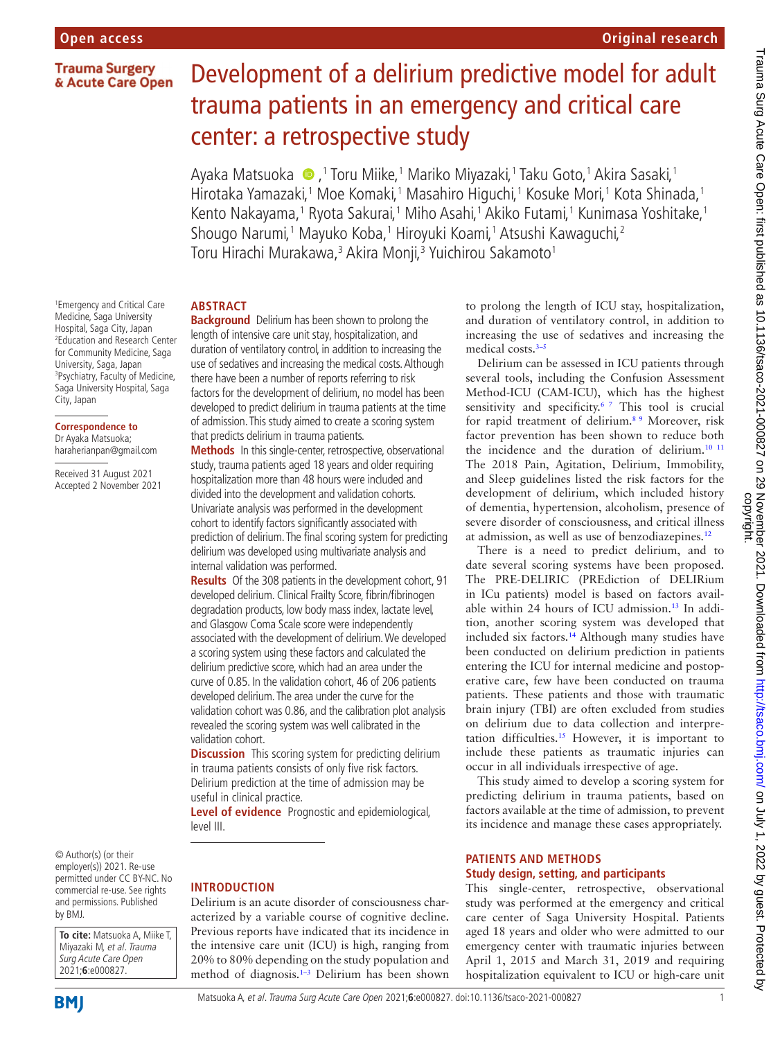## **Trauma Surgery** & Acute Care Open

1 Emergency and Critical Care Medicine, Saga University Hospital, Saga City, Japan 2 Education and Research Center for Community Medicine, Saga University, Saga, Japan 3 Psychiatry, Faculty of Medicine, Saga University Hospital, Saga

City, Japan

**Correspondence to** Dr Ayaka Matsuoka; haraherianpan@gmail.com Received 31 August 2021 Accepted 2 November 2021

# Development of a delirium predictive model for adult trauma patients in an emergency and critical care center: a retrospective study

Ayaka Matsuoka �,<sup>1</sup> Toru Miike,<sup>1</sup> Mariko Miyazaki,<sup>1</sup> Taku Goto,<sup>1</sup> Akira Sasaki,<sup>1</sup> Hirotaka Yamazaki,1 Moe Komaki,1 Masahiro Higuchi,1 Kosuke Mori,1 Kota Shinada,1 Kento Nakayama,<sup>1</sup> Ryota Sakurai,<sup>1</sup> Miho Asahi,<sup>1</sup> Akiko Futami,<sup>1</sup> Kunimasa Yoshitake,<sup>1</sup> Shougo Narumi,<sup>1</sup> Mayuko Koba,<sup>1</sup> Hiroyuki Koami,<sup>1</sup> Atsushi Kawaguchi,<sup>2</sup> Toru Hirachi Murakawa,<sup>3</sup> Akira Monji,<sup>3</sup> Yuichirou Sakamoto<sup>1</sup>

# **ABSTRACT**

**Background** Delirium has been shown to prolong the length of intensive care unit stay, hospitalization, and duration of ventilatory control, in addition to increasing the use of sedatives and increasing the medical costs. Although there have been a number of reports referring to risk factors for the development of delirium, no model has been developed to predict delirium in trauma patients at the time of admission. This study aimed to create a scoring system that predicts delirium in trauma patients.

**Methods** In this single-center, retrospective, observational study, trauma patients aged 18 years and older requiring hospitalization more than 48 hours were included and divided into the development and validation cohorts. Univariate analysis was performed in the development cohort to identify factors significantly associated with prediction of delirium. The final scoring system for predicting delirium was developed using multivariate analysis and internal validation was performed.

**Results** Of the 308 patients in the development cohort, 91 developed delirium. Clinical Frailty Score, fibrin/fibrinogen degradation products, low body mass index, lactate level, and Glasgow Coma Scale score were independently associated with the development of delirium. We developed a scoring system using these factors and calculated the delirium predictive score, which had an area under the curve of 0.85. In the validation cohort, 46 of 206 patients developed delirium. The area under the curve for the validation cohort was 0.86, and the calibration plot analysis revealed the scoring system was well calibrated in the validation cohort.

**Discussion** This scoring system for predicting delirium in trauma patients consists of only five risk factors. Delirium prediction at the time of admission may be useful in clinical practice.

**Level of evidence** Prognostic and epidemiological, level III.

© Author(s) (or their employer(s)) 2021. Re-use permitted under CC BY-NC. No commercial re-use. See rights and permissions. Published by BMJ.

**To cite:** Matsuoka A, Miike T, Miyazaki M, et al. Trauma Surg Acute Care Open 2021;**6**:e000827.

### **INTRODUCTION**

Delirium is an acute disorder of consciousness characterized by a variable course of cognitive decline. Previous reports have indicated that its incidence in the intensive care unit (ICU) is high, ranging from 20% to 80% depending on the study population and method of diagnosis.<sup>1-3</sup> Delirium has been shown to prolong the length of ICU stay, hospitalization, and duration of ventilatory control, in addition to increasing the use of sedatives and increasing the medical costs.<sup>3–5</sup>

Delirium can be assessed in ICU patients through several tools, including the Confusion Assessment Method-ICU (CAM-ICU), which has the highest sensitivity and specificity.<sup>67</sup> This tool is crucial for rapid treatment of delirium.[8 9](#page-4-3) Moreover, risk factor prevention has been shown to reduce both the incidence and the duration of delirium.<sup>[10 11](#page-4-4)</sup> The 2018 Pain, Agitation, Delirium, Immobility, and Sleep guidelines listed the risk factors for the development of delirium, which included history of dementia, hypertension, alcoholism, presence of severe disorder of consciousness, and critical illness at admission, as well as use of benzodiazepines.[12](#page-4-5)

There is a need to predict delirium, and to date several scoring systems have been proposed. The PRE-DELIRIC (PREdiction of DELIRium in ICu patients) model is based on factors available within 24 hours of ICU admission.<sup>13</sup> In addition, another scoring system was developed that included six factors.<sup>14</sup> Although many studies have been conducted on delirium prediction in patients entering the ICU for internal medicine and postoperative care, few have been conducted on trauma patients. These patients and those with traumatic brain injury (TBI) are often excluded from studies on delirium due to data collection and interpretation difficulties.<sup>15</sup> However, it is important to include these patients as traumatic injuries can occur in all individuals irrespective of age.

This study aimed to develop a scoring system for predicting delirium in trauma patients, based on factors available at the time of admission, to prevent its incidence and manage these cases appropriately.

### **PATIENTS AND METHODS Study design, setting, and participants**

This single-center, retrospective, observational study was performed at the emergency and critical care center of Saga University Hospital. Patients aged 18 years and older who were admitted to our emergency center with traumatic injuries between April 1, 2015 and March 31, 2019 and requiring hospitalization equivalent to ICU or high-care unit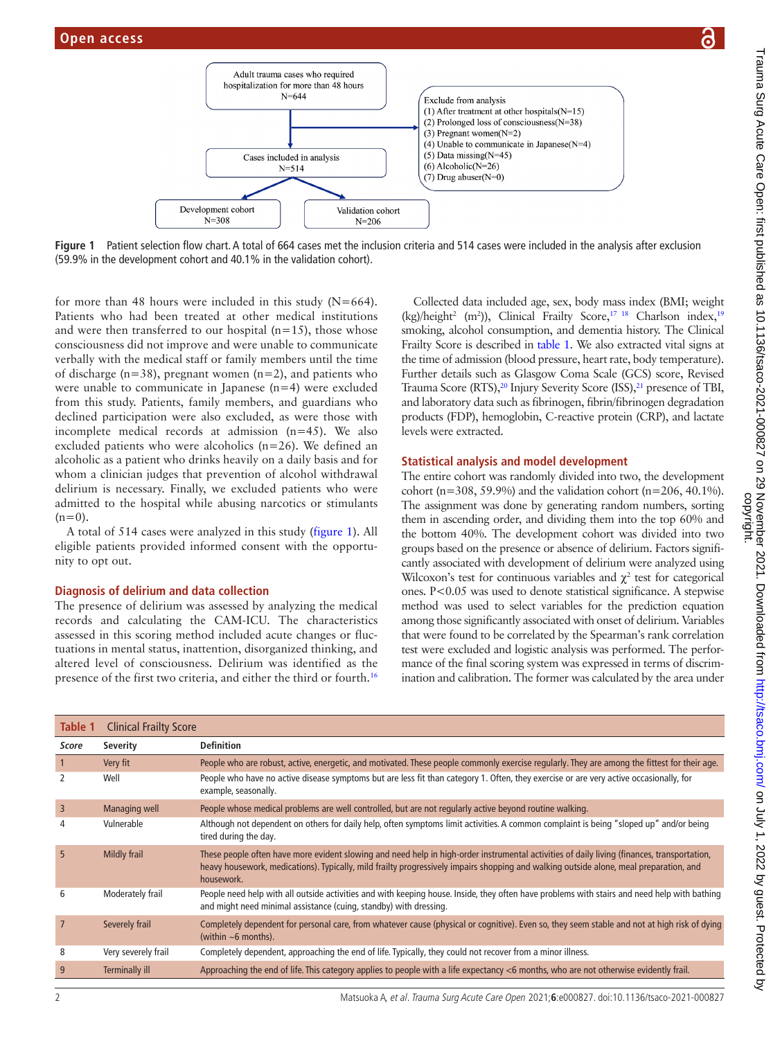

**Figure 1** Patient selection flow chart. A total of 664 cases met the inclusion criteria and 514 cases were included in the analysis after exclusion (59.9% in the development cohort and 40.1% in the validation cohort).

for more than 48 hours were included in this study  $(N=664)$ . Patients who had been treated at other medical institutions and were then transferred to our hospital  $(n=15)$ , those whose consciousness did not improve and were unable to communicate verbally with the medical staff or family members until the time of discharge (n=38), pregnant women (n=2), and patients who were unable to communicate in Japanese (n=4) were excluded from this study. Patients, family members, and guardians who declined participation were also excluded, as were those with incomplete medical records at admission (n=45). We also excluded patients who were alcoholics (n=26). We defined an alcoholic as a patient who drinks heavily on a daily basis and for whom a clinician judges that prevention of alcohol withdrawal delirium is necessary. Finally, we excluded patients who were admitted to the hospital while abusing narcotics or stimulants  $(n=0)$ .

A total of 514 cases were analyzed in this study [\(figure](#page-1-0) 1). All eligible patients provided informed consent with the opportunity to opt out.

#### **Diagnosis of delirium and data collection**

The presence of delirium was assessed by analyzing the medical records and calculating the CAM-ICU. The characteristics assessed in this scoring method included acute changes or fluctuations in mental status, inattention, disorganized thinking, and altered level of consciousness. Delirium was identified as the presence of the first two criteria, and either the third or fourth.<sup>[16](#page-4-9)</sup>

<span id="page-1-0"></span>Collected data included age, sex, body mass index (BMI; weight  $(kg)/height<sup>2</sup>$  (m<sup>2</sup>)), Clinical Frailty Score,<sup>[17 18](#page-4-10)</sup> Charlson index,<sup>[19](#page-4-11)</sup> smoking, alcohol consumption, and dementia history. The Clinical Frailty Score is described in [table](#page-1-1) 1. We also extracted vital signs at the time of admission (blood pressure, heart rate, body temperature). Further details such as Glasgow Coma Scale (GCS) score, Revised Trauma Score (RTS),<sup>20</sup> Injury Severity Score (ISS),<sup>21</sup> presence of TBI, and laboratory data such as fibrinogen, fibrin/fibrinogen degradation products (FDP), hemoglobin, C-reactive protein (CRP), and lactate levels were extracted.

#### **Statistical analysis and model development**

The entire cohort was randomly divided into two, the development cohort (n=308, 59.9%) and the validation cohort (n=206, 40.1%). The assignment was done by generating random numbers, sorting them in ascending order, and dividing them into the top 60% and the bottom 40%. The development cohort was divided into two groups based on the presence or absence of delirium. Factors significantly associated with development of delirium were analyzed using Wilcoxon's test for continuous variables and  $\chi^2$  test for categorical ones. P<0.05 was used to denote statistical significance. A stepwise method was used to select variables for the prediction equation among those significantly associated with onset of delirium. Variables that were found to be correlated by the Spearman's rank correlation test were excluded and logistic analysis was performed. The performance of the final scoring system was expressed in terms of discrimination and calibration. The former was calculated by the area under

<span id="page-1-1"></span>

| Table 1        | <b>Clinical Frailty Score</b> |                                                                                                                                                                                                                                                                                                     |
|----------------|-------------------------------|-----------------------------------------------------------------------------------------------------------------------------------------------------------------------------------------------------------------------------------------------------------------------------------------------------|
| Score          | Severity                      | <b>Definition</b>                                                                                                                                                                                                                                                                                   |
| 1              | Very fit                      | People who are robust, active, energetic, and motivated. These people commonly exercise regularly. They are among the fittest for their age.                                                                                                                                                        |
| 2              | Well                          | People who have no active disease symptoms but are less fit than category 1. Often, they exercise or are very active occasionally, for<br>example, seasonally.                                                                                                                                      |
| $\overline{3}$ | Managing well                 | People whose medical problems are well controlled, but are not regularly active beyond routine walking.                                                                                                                                                                                             |
| 4              | Vulnerable                    | Although not dependent on others for daily help, often symptoms limit activities. A common complaint is being "sloped up" and/or being<br>tired during the day.                                                                                                                                     |
| 5              | Mildly frail                  | These people often have more evident slowing and need help in high-order instrumental activities of daily living (finances, transportation,<br>heavy housework, medications). Typically, mild frailty progressively impairs shopping and walking outside alone, meal preparation, and<br>housework. |
| 6              | Moderately frail              | People need help with all outside activities and with keeping house. Inside, they often have problems with stairs and need help with bathing<br>and might need minimal assistance (cuing, standby) with dressing.                                                                                   |
| $\overline{7}$ | Severely frail                | Completely dependent for personal care, from whatever cause (physical or cognitive). Even so, they seem stable and not at high risk of dying<br>(within $\sim$ 6 months).                                                                                                                           |
| 8              | Very severely frail           | Completely dependent, approaching the end of life. Typically, they could not recover from a minor illness.                                                                                                                                                                                          |
| 9              | <b>Terminally ill</b>         | Approaching the end of life. This category applies to people with a life expectancy <6 months, who are not otherwise evidently frail.                                                                                                                                                               |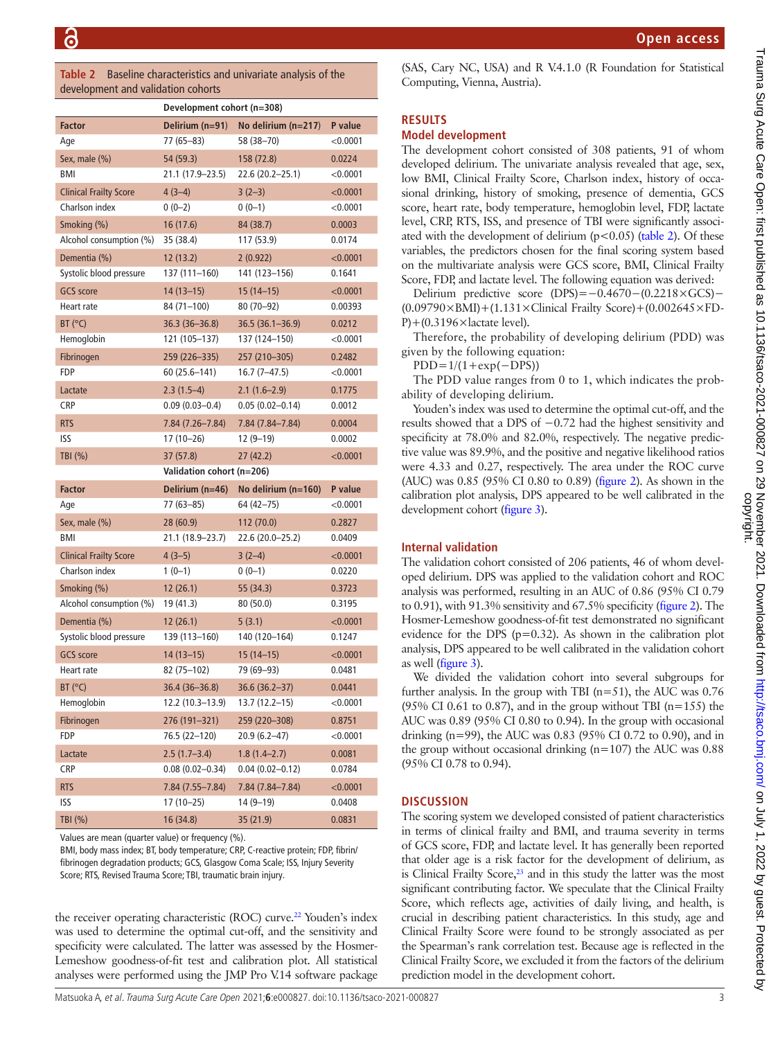<span id="page-2-0"></span>**Table 2** Baseline characteristics and univariate analysis of the development and validation cohorts

|                               | Development cohort (n=308) |                       |          |  |
|-------------------------------|----------------------------|-----------------------|----------|--|
| <b>Factor</b>                 | Delirium (n=91)            | No delirium $(n=217)$ | P value  |  |
| Age                           | 77 (65-83)                 | 58 (38-70)            | < 0.0001 |  |
| Sex, male (%)                 | 54 (59.3)                  | 158 (72.8)            | 0.0224   |  |
| BMI                           | 21.1 (17.9-23.5)           | 22.6 (20.2-25.1)      | < 0.0001 |  |
| <b>Clinical Frailty Score</b> | $4(3-4)$                   | $3(2-3)$              | < 0.0001 |  |
| Charlson index                | $0(0-2)$                   | $0(0-1)$              | < 0.0001 |  |
| Smoking (%)                   | 16 (17.6)                  | 84 (38.7)             | 0.0003   |  |
| Alcohol consumption (%)       | 35 (38.4)                  | 117 (53.9)            | 0.0174   |  |
| Dementia (%)                  | 12(13.2)                   | 2(0.922)              | < 0.0001 |  |
| Systolic blood pressure       | 137 (111-160)              | 141 (123-156)         | 0.1641   |  |
| <b>GCS</b> score              | $14(13 - 15)$              | $15(14-15)$           | < 0.0001 |  |
| Heart rate                    | 84 (71-100)                | $80(70 - 92)$         | 0.00393  |  |
| BT (°C)                       | $36.3(36 - 36.8)$          | 36.5 (36.1-36.9)      | 0.0212   |  |
| Hemoglobin                    | 121 (105-137)              | 137 (124–150)         | < 0.0001 |  |
| Fibrinogen                    | 259 (226-335)              | 257 (210-305)         | 0.2482   |  |
| FDP                           | 60 (25.6–141)              | 16.7 (7-47.5)         | < 0.0001 |  |
| Lactate                       | $2.3(1.5-4)$               | $2.1(1.6-2.9)$        | 0.1775   |  |
| CRP                           | $0.09(0.03 - 0.4)$         | $0.05(0.02 - 0.14)$   | 0.0012   |  |
| <b>RTS</b>                    | 7.84 (7.26-7.84)           | 7.84 (7.84-7.84)      | 0.0004   |  |
| ISS                           | $17(10-26)$                | 12 (9-19)             | 0.0002   |  |
| TBI (%)                       | 37 (57.8)                  | 27(42.2)              | < 0.0001 |  |
|                               | Validation cohort (n=206)  |                       |          |  |
|                               |                            |                       |          |  |
| <b>Factor</b>                 | Delirium (n=46)            | No delirium (n=160)   | P value  |  |
| Age                           | 77 (63-85)                 | 64 (42–75)            | < 0.0001 |  |
| Sex, male (%)                 | 28 (60.9)                  | 112 (70.0)            | 0.2827   |  |
| BMI                           | 21.1 (18.9–23.7)           | 22.6 (20.0-25.2)      | 0.0409   |  |
| <b>Clinical Frailty Score</b> | $4(3-5)$                   | $3(2-4)$              | < 0.0001 |  |
| Charlson index                | $1(0-1)$                   | $0(0-1)$              | 0.0220   |  |
| Smoking (%)                   | 12(26.1)                   | 55 (34.3)             | 0.3723   |  |
| Alcohol consumption (%)       | 19 (41.3)                  | 80 (50.0)             | 0.3195   |  |
| Dementia (%)                  | 12(26.1)                   | 5(3.1)                | < 0.0001 |  |
| Systolic blood pressure       | 139 (113-160)              | 140 (120-164)         | 0.1247   |  |
| <b>GCS</b> score              | $14(13-15)$                | $15(14-15)$           | < 0.0001 |  |
| Heart rate                    | 82 (75-102)                | 79 (69–93)            | 0.0481   |  |
| BT (°C)                       | 36.4 (36-36.8)             | 36.6 (36.2-37)        | 0.0441   |  |
| Hemoglobin                    | $12.2(10.3-13.9)$          | 13.7 (12.2–15)        | < 0.0001 |  |
| Fibrinogen                    | 276 (191-321)              | 259 (220-308)         | 0.8751   |  |
| FDP                           | 76.5 (22-120)              | $20.9(6.2-47)$        | < 0.0001 |  |
| Lactate                       | $2.5(1.7-3.4)$             | $1.8(1.4-2.7)$        | 0.0081   |  |
| CRP                           | $0.08(0.02 - 0.34)$        | $0.04(0.02 - 0.12)$   | 0.0784   |  |
| <b>RTS</b>                    | 7.84 (7.55-7.84)           | 7.84 (7.84-7.84)      | < 0.0001 |  |
| <b>ISS</b>                    | 17 (10-25)                 | $14(9-19)$            | 0.0408   |  |

Values are mean (quarter value) or frequency (%).

BMI, body mass index; BT, body temperature; CRP, C-reactive protein; FDP, fibrin/ fibrinogen degradation products; GCS, Glasgow Coma Scale; ISS, Injury Severity Score; RTS, Revised Trauma Score; TBI, traumatic brain injury.

the receiver operating characteristic (ROC) curve.<sup>[22](#page-4-14)</sup> Youden's index was used to determine the optimal cut-off, and the sensitivity and specificity were calculated. The latter was assessed by the Hosmer-Lemeshow goodness-of-fit test and calibration plot. All statistical analyses were performed using the JMP Pro V.14 software package (SAS, Cary NC, USA) and R V.4.1.0 (R Foundation for Statistical Computing, Vienna, Austria).

#### **RESULTS**

#### **Model development**

The development cohort consisted of 308 patients, 91 of whom developed delirium. The univariate analysis revealed that age, sex, low BMI, Clinical Frailty Score, Charlson index, history of occasional drinking, history of smoking, presence of dementia, GCS score, heart rate, body temperature, hemoglobin level, FDP, lactate level, CRP, RTS, ISS, and presence of TBI were significantly associated with the development of delirium ( $p$ <0.05) [\(table](#page-2-0) 2). Of these variables, the predictors chosen for the final scoring system based on the multivariate analysis were GCS score, BMI, Clinical Frailty Score, FDP, and lactate level. The following equation was derived:

Delirium predictive score (DPS)=−0.4670−(0.2218×GCS)−  $(0.09790\times$ BMI)+ $(1.131\times$ Clinical Frailty Score)+ $(0.002645\times$ FD- $P$ )+(0.3196 $\times$ lactate level).

Therefore, the probability of developing delirium (PDD) was given by the following equation:

 $PDD=1/(1+\exp(-DPS))$ 

The PDD value ranges from 0 to 1, which indicates the probability of developing delirium.

Youden's index was used to determine the optimal cut-off, and the results showed that a DPS of −0.72 had the highest sensitivity and specificity at 78.0% and 82.0%, respectively. The negative predictive value was 89.9%, and the positive and negative likelihood ratios were 4.33 and 0.27, respectively. The area under the ROC curve (AUC) was 0.85 (95% CI 0.80 to 0.89) [\(figure](#page-3-0) 2). As shown in the calibration plot analysis, DPS appeared to be well calibrated in the development cohort [\(figure](#page-3-1) 3).

#### **Internal validation**

The validation cohort consisted of 206 patients, 46 of whom developed delirium. DPS was applied to the validation cohort and ROC analysis was performed, resulting in an AUC of 0.86 (95% CI 0.79 to 0.91), with 91.3% sensitivity and 67.5% specificity [\(figure](#page-3-0) 2). The Hosmer-Lemeshow goodness-of-fit test demonstrated no significant evidence for the DPS ( $p=0.32$ ). As shown in the calibration plot analysis, DPS appeared to be well calibrated in the validation cohort as well [\(figure](#page-3-1) 3).

We divided the validation cohort into several subgroups for further analysis. In the group with TBI ( $n=51$ ), the AUC was 0.76 (95% CI 0.61 to 0.87), and in the group without TBI ( $n=155$ ) the AUC was 0.89 (95% CI 0.80 to 0.94). In the group with occasional drinking (n=99), the AUC was 0.83 (95% CI 0.72 to 0.90), and in the group without occasional drinking  $(n=107)$  the AUC was 0.88 (95% CI 0.78 to 0.94).

#### **DISCUSSION**

The scoring system we developed consisted of patient characteristics in terms of clinical frailty and BMI, and trauma severity in terms of GCS score, FDP, and lactate level. It has generally been reported that older age is a risk factor for the development of delirium, as is Clinical Frailty Score, $23$  and in this study the latter was the most significant contributing factor. We speculate that the Clinical Frailty Score, which reflects age, activities of daily living, and health, is crucial in describing patient characteristics. In this study, age and Clinical Frailty Score were found to be strongly associated as per the Spearman's rank correlation test. Because age is reflected in the Clinical Frailty Score, we excluded it from the factors of the delirium prediction model in the development cohort.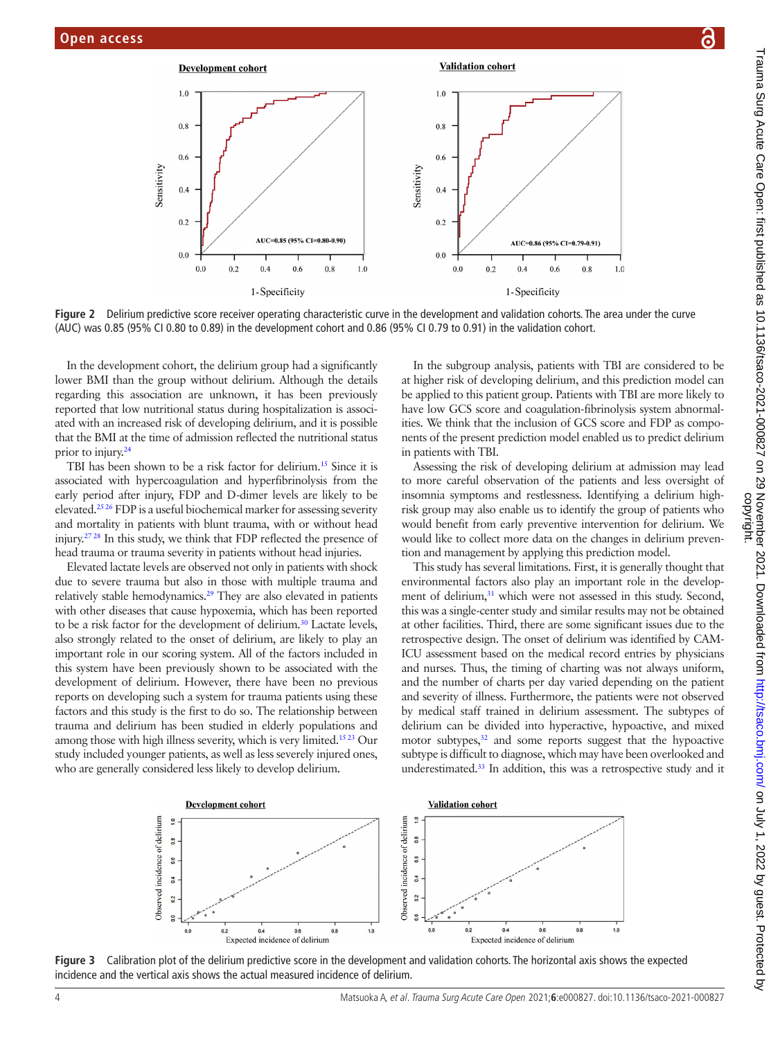

**Figure 2** Delirium predictive score receiver operating characteristic curve in the development and validation cohorts. The area under the curve (AUC) was 0.85 (95% CI 0.80 to 0.89) in the development cohort and 0.86 (95% CI 0.79 to 0.91) in the validation cohort.

In the development cohort, the delirium group had a significantly lower BMI than the group without delirium. Although the details regarding this association are unknown, it has been previously reported that low nutritional status during hospitalization is associated with an increased risk of developing delirium, and it is possible that the BMI at the time of admission reflected the nutritional status prior to injury.<sup>[24](#page-4-16)</sup>

TBI has been shown to be a risk factor for delirium[.15](#page-4-8) Since it is associated with hypercoagulation and hyperfibrinolysis from the early period after injury, FDP and D-dimer levels are likely to be elevated[.25 26](#page-4-17) FDP is a useful biochemical marker for assessing severity and mortality in patients with blunt trauma, with or without head injury[.27 28](#page-4-18) In this study, we think that FDP reflected the presence of head trauma or trauma severity in patients without head injuries.

Elevated lactate levels are observed not only in patients with shock due to severe trauma but also in those with multiple trauma and relatively stable hemodynamics.[29](#page-4-19) They are also elevated in patients with other diseases that cause hypoxemia, which has been reported to be a risk factor for the development of delirium.<sup>[30](#page-4-20)</sup> Lactate levels, also strongly related to the onset of delirium, are likely to play an important role in our scoring system. All of the factors included in this system have been previously shown to be associated with the development of delirium. However, there have been no previous reports on developing such a system for trauma patients using these factors and this study is the first to do so. The relationship between trauma and delirium has been studied in elderly populations and among those with high illness severity, which is very limited.<sup>15 23</sup> Our study included younger patients, as well as less severely injured ones, who are generally considered less likely to develop delirium.

<span id="page-3-0"></span>In the subgroup analysis, patients with TBI are considered to be at higher risk of developing delirium, and this prediction model can be applied to this patient group. Patients with TBI are more likely to have low GCS score and coagulation-fibrinolysis system abnormalities. We think that the inclusion of GCS score and FDP as components of the present prediction model enabled us to predict delirium in patients with TBI.

Assessing the risk of developing delirium at admission may lead to more careful observation of the patients and less oversight of insomnia symptoms and restlessness. Identifying a delirium highrisk group may also enable us to identify the group of patients who would benefit from early preventive intervention for delirium. We would like to collect more data on the changes in delirium prevention and management by applying this prediction model.

This study has several limitations. First, it is generally thought that environmental factors also play an important role in the development of delirium,<sup>31</sup> which were not assessed in this study. Second, this was a single-center study and similar results may not be obtained at other facilities. Third, there are some significant issues due to the retrospective design. The onset of delirium was identified by CAM-ICU assessment based on the medical record entries by physicians and nurses. Thus, the timing of charting was not always uniform, and the number of charts per day varied depending on the patient and severity of illness. Furthermore, the patients were not observed by medical staff trained in delirium assessment. The subtypes of delirium can be divided into hyperactive, hypoactive, and mixed motor subtypes,<sup>32</sup> and some reports suggest that the hypoactive subtype is difficult to diagnose, which may have been overlooked and underestimated[.33](#page-4-23) In addition, this was a retrospective study and it

<span id="page-3-1"></span>

**Figure 3** Calibration plot of the delirium predictive score in the development and validation cohorts. The horizontal axis shows the expected incidence and the vertical axis shows the actual measured incidence of delirium.

 $\mathbf{a}$